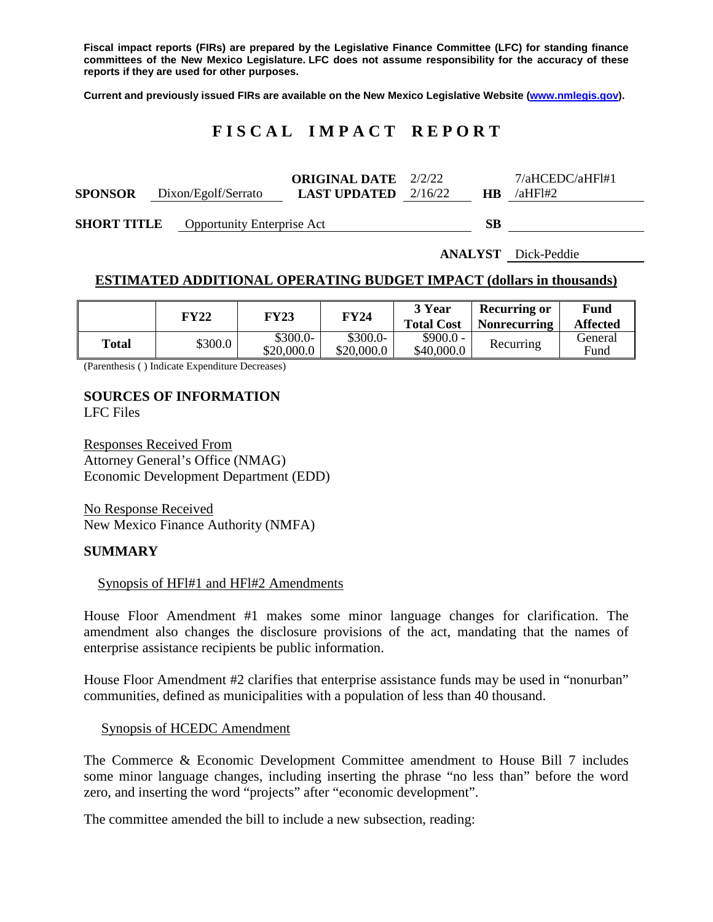**Fiscal impact reports (FIRs) are prepared by the Legislative Finance Committee (LFC) for standing finance committees of the New Mexico Legislature. LFC does not assume responsibility for the accuracy of these reports if they are used for other purposes.**

**Current and previously issued FIRs are available on the New Mexico Legislative Website [\(www.nmlegis.gov\)](http://www.nmlegis.gov/).**

# **F I S C A L I M P A C T R E P O R T**

|                                                           |                     | <b>ORIGINAL DATE</b> 2/2/22   |        | $7/a$ HCEDC/aHFl#1 |
|-----------------------------------------------------------|---------------------|-------------------------------|--------|--------------------|
| <b>SPONSOR</b>                                            | Dixon/Egolf/Serrato | <b>LAST UPDATED</b> $2/16/22$ | HB.    | $\lambda$ aHFI#2   |
| $\sim$ - $\sim$ $\sim$ $\sim$ $\sim$ $\sim$ $\sim$ $\sim$ | $\sim$              |                               | $\sim$ |                    |

**SHORT TITLE** Opportunity Enterprise Act **SB**

**ANALYST** Dick-Peddie

### **ESTIMATED ADDITIONAL OPERATING BUDGET IMPACT (dollars in thousands)**

|       | FY22    | FY23                    | FY24                    | 3 Year<br><b>Total Cost</b> | <b>Recurring or</b><br><b>Nonrecurring</b> | Fund<br><b>Affected</b> |
|-------|---------|-------------------------|-------------------------|-----------------------------|--------------------------------------------|-------------------------|
| Total | \$300.0 | $$300.0-$<br>\$20,000.0 | $$300.0-$<br>\$20,000.0 | $$900.0 -$<br>\$40,000.0    | Recurring                                  | General<br>Fund         |

(Parenthesis ( ) Indicate Expenditure Decreases)

# **SOURCES OF INFORMATION**

LFC Files

Responses Received From Attorney General's Office (NMAG) Economic Development Department (EDD)

No Response Received New Mexico Finance Authority (NMFA)

### **SUMMARY**

### Synopsis of HFl#1 and HFl#2 Amendments

House Floor Amendment #1 makes some minor language changes for clarification. The amendment also changes the disclosure provisions of the act, mandating that the names of enterprise assistance recipients be public information.

House Floor Amendment #2 clarifies that enterprise assistance funds may be used in "nonurban" communities, defined as municipalities with a population of less than 40 thousand.

Synopsis of HCEDC Amendment

The Commerce & Economic Development Committee amendment to House Bill 7 includes some minor language changes, including inserting the phrase "no less than" before the word zero, and inserting the word "projects" after "economic development".

The committee amended the bill to include a new subsection, reading: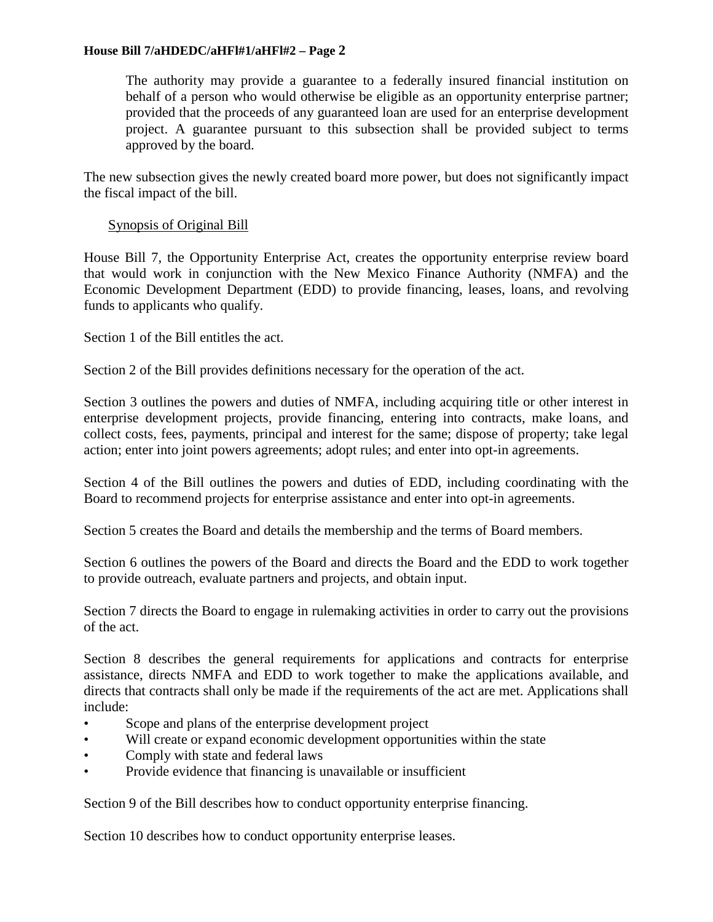### **House Bill 7/aHDEDC/aHFl#1/aHFl#2 – Page 2**

The authority may provide a guarantee to a federally insured financial institution on behalf of a person who would otherwise be eligible as an opportunity enterprise partner; provided that the proceeds of any guaranteed loan are used for an enterprise development project. A guarantee pursuant to this subsection shall be provided subject to terms approved by the board.

The new subsection gives the newly created board more power, but does not significantly impact the fiscal impact of the bill.

# Synopsis of Original Bill

House Bill 7, the Opportunity Enterprise Act, creates the opportunity enterprise review board that would work in conjunction with the New Mexico Finance Authority (NMFA) and the Economic Development Department (EDD) to provide financing, leases, loans, and revolving funds to applicants who qualify.

Section 1 of the Bill entitles the act.

Section 2 of the Bill provides definitions necessary for the operation of the act.

Section 3 outlines the powers and duties of NMFA, including acquiring title or other interest in enterprise development projects, provide financing, entering into contracts, make loans, and collect costs, fees, payments, principal and interest for the same; dispose of property; take legal action; enter into joint powers agreements; adopt rules; and enter into opt-in agreements.

Section 4 of the Bill outlines the powers and duties of EDD, including coordinating with the Board to recommend projects for enterprise assistance and enter into opt-in agreements.

Section 5 creates the Board and details the membership and the terms of Board members.

Section 6 outlines the powers of the Board and directs the Board and the EDD to work together to provide outreach, evaluate partners and projects, and obtain input.

Section 7 directs the Board to engage in rulemaking activities in order to carry out the provisions of the act.

Section 8 describes the general requirements for applications and contracts for enterprise assistance, directs NMFA and EDD to work together to make the applications available, and directs that contracts shall only be made if the requirements of the act are met. Applications shall include:

- Scope and plans of the enterprise development project
- Will create or expand economic development opportunities within the state
- Comply with state and federal laws
- Provide evidence that financing is unavailable or insufficient

Section 9 of the Bill describes how to conduct opportunity enterprise financing.

Section 10 describes how to conduct opportunity enterprise leases.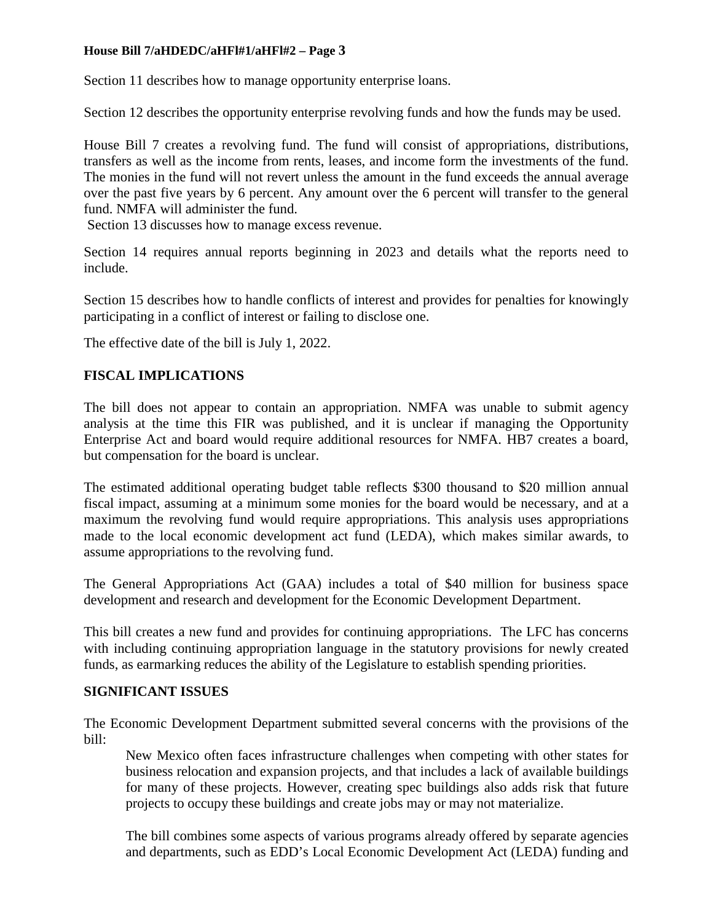# **House Bill 7/aHDEDC/aHFl#1/aHFl#2 – Page 3**

Section 11 describes how to manage opportunity enterprise loans.

Section 12 describes the opportunity enterprise revolving funds and how the funds may be used.

House Bill 7 creates a revolving fund. The fund will consist of appropriations, distributions, transfers as well as the income from rents, leases, and income form the investments of the fund. The monies in the fund will not revert unless the amount in the fund exceeds the annual average over the past five years by 6 percent. Any amount over the 6 percent will transfer to the general fund. NMFA will administer the fund.

Section 13 discusses how to manage excess revenue.

Section 14 requires annual reports beginning in 2023 and details what the reports need to include.

Section 15 describes how to handle conflicts of interest and provides for penalties for knowingly participating in a conflict of interest or failing to disclose one.

The effective date of the bill is July 1, 2022.

# **FISCAL IMPLICATIONS**

The bill does not appear to contain an appropriation. NMFA was unable to submit agency analysis at the time this FIR was published, and it is unclear if managing the Opportunity Enterprise Act and board would require additional resources for NMFA. HB7 creates a board, but compensation for the board is unclear.

The estimated additional operating budget table reflects \$300 thousand to \$20 million annual fiscal impact, assuming at a minimum some monies for the board would be necessary, and at a maximum the revolving fund would require appropriations. This analysis uses appropriations made to the local economic development act fund (LEDA), which makes similar awards, to assume appropriations to the revolving fund.

The General Appropriations Act (GAA) includes a total of \$40 million for business space development and research and development for the Economic Development Department.

This bill creates a new fund and provides for continuing appropriations. The LFC has concerns with including continuing appropriation language in the statutory provisions for newly created funds, as earmarking reduces the ability of the Legislature to establish spending priorities.

# **SIGNIFICANT ISSUES**

The Economic Development Department submitted several concerns with the provisions of the bill:

New Mexico often faces infrastructure challenges when competing with other states for business relocation and expansion projects, and that includes a lack of available buildings for many of these projects. However, creating spec buildings also adds risk that future projects to occupy these buildings and create jobs may or may not materialize.

The bill combines some aspects of various programs already offered by separate agencies and departments, such as EDD's Local Economic Development Act (LEDA) funding and